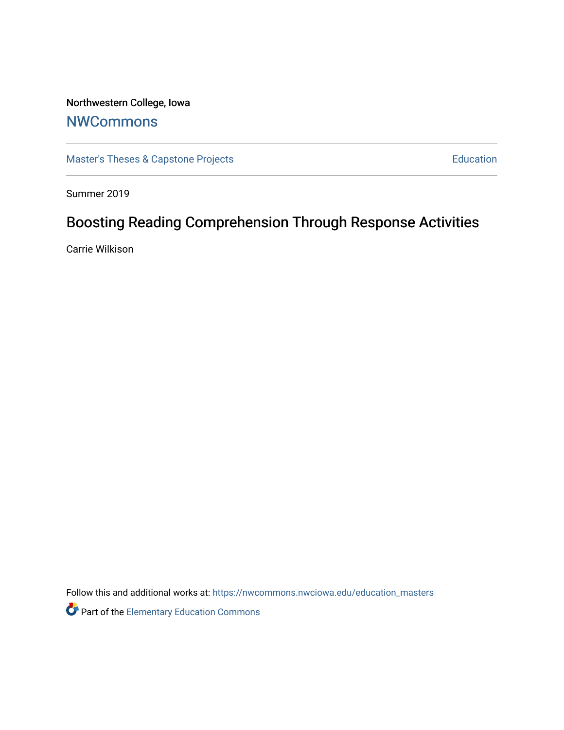## Northwestern College, Iowa

## **[NWCommons](https://nwcommons.nwciowa.edu/)**

[Master's Theses & Capstone Projects](https://nwcommons.nwciowa.edu/education_masters) **Education** Education

Summer 2019

## Boosting Reading Comprehension Through Response Activities

Carrie Wilkison

Follow this and additional works at: [https://nwcommons.nwciowa.edu/education\\_masters](https://nwcommons.nwciowa.edu/education_masters?utm_source=nwcommons.nwciowa.edu%2Feducation_masters%2F168&utm_medium=PDF&utm_campaign=PDFCoverPages)

Part of the [Elementary Education Commons](http://network.bepress.com/hgg/discipline/1378?utm_source=nwcommons.nwciowa.edu%2Feducation_masters%2F168&utm_medium=PDF&utm_campaign=PDFCoverPages)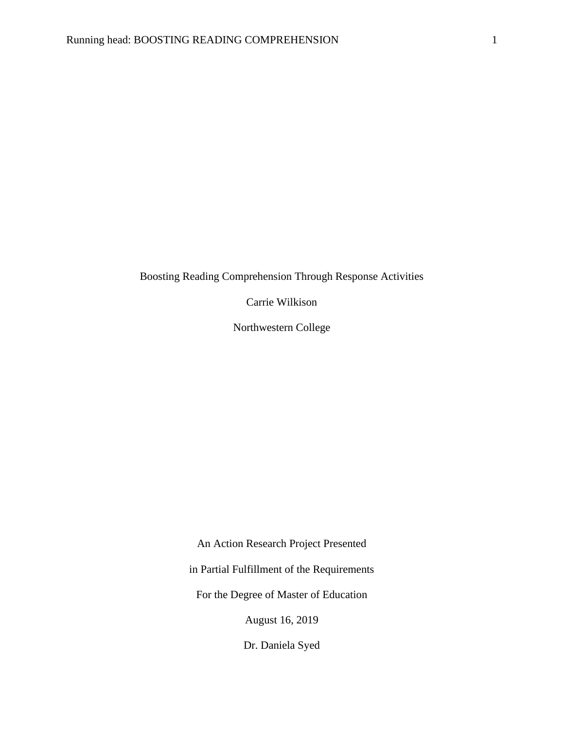### Boosting Reading Comprehension Through Response Activities

Carrie Wilkison

Northwestern College

An Action Research Project Presented

in Partial Fulfillment of the Requirements

For the Degree of Master of Education

August 16, 2019

Dr. Daniela Syed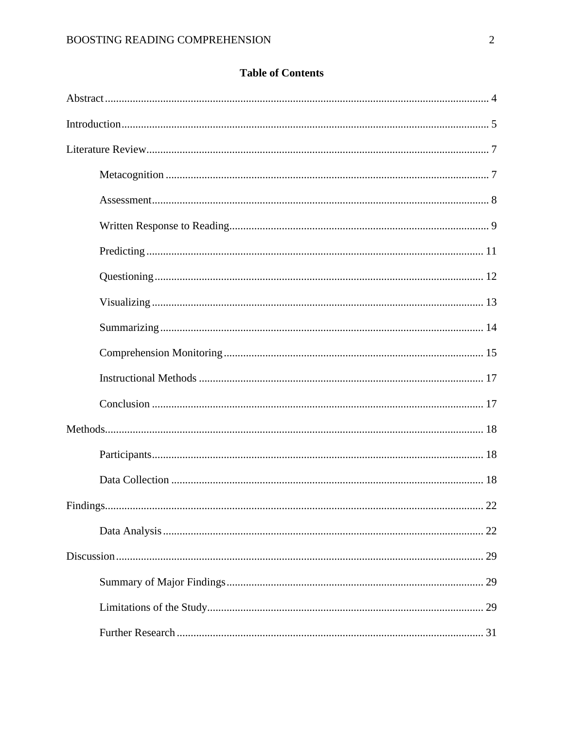## **Table of Contents**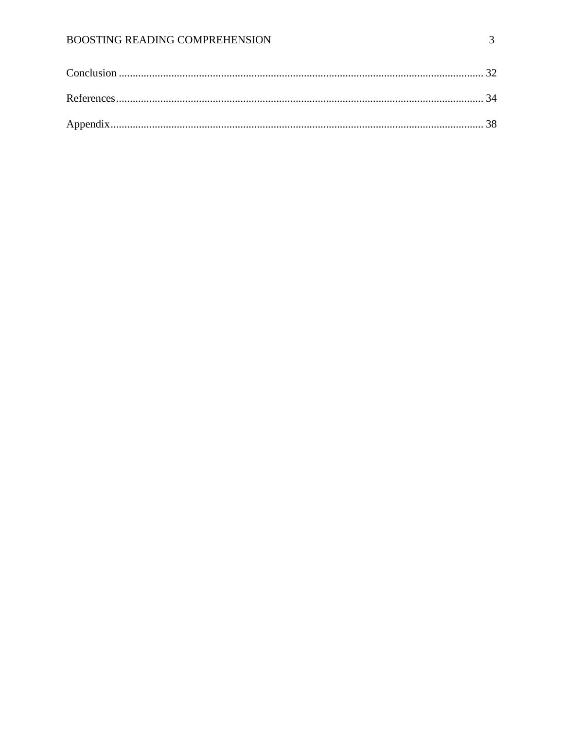### BOOSTING READING COMPREHENSION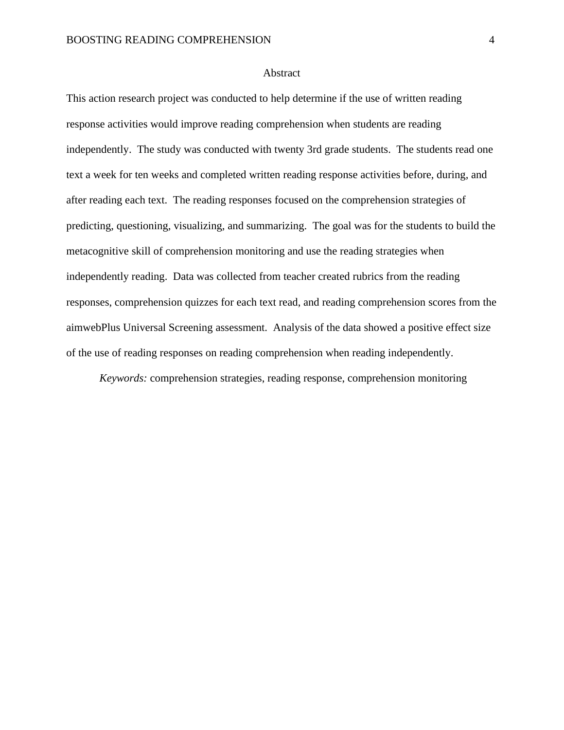#### Abstract

This action research project was conducted to help determine if the use of written reading response activities would improve reading comprehension when students are reading independently. The study was conducted with twenty 3rd grade students. The students read one text a week for ten weeks and completed written reading response activities before, during, and after reading each text. The reading responses focused on the comprehension strategies of predicting, questioning, visualizing, and summarizing. The goal was for the students to build the metacognitive skill of comprehension monitoring and use the reading strategies when independently reading. Data was collected from teacher created rubrics from the reading responses, comprehension quizzes for each text read, and reading comprehension scores from the aimwebPlus Universal Screening assessment. Analysis of the data showed a positive effect size of the use of reading responses on reading comprehension when reading independently.

*Keywords:* comprehension strategies, reading response, comprehension monitoring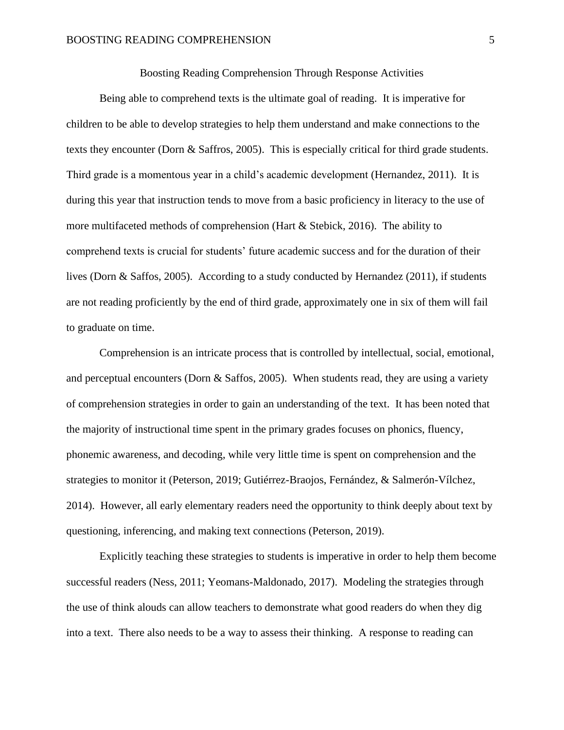#### Boosting Reading Comprehension Through Response Activities

Being able to comprehend texts is the ultimate goal of reading. It is imperative for children to be able to develop strategies to help them understand and make connections to the texts they encounter (Dorn & Saffros, 2005). This is especially critical for third grade students. Third grade is a momentous year in a child's academic development (Hernandez, 2011). It is during this year that instruction tends to move from a basic proficiency in literacy to the use of more multifaceted methods of comprehension (Hart & Stebick, 2016). The ability to comprehend texts is crucial for students' future academic success and for the duration of their lives (Dorn & Saffos, 2005). According to a study conducted by Hernandez (2011), if students are not reading proficiently by the end of third grade, approximately one in six of them will fail to graduate on time.

Comprehension is an intricate process that is controlled by intellectual, social, emotional, and perceptual encounters (Dorn & Saffos, 2005). When students read, they are using a variety of comprehension strategies in order to gain an understanding of the text. It has been noted that the majority of instructional time spent in the primary grades focuses on phonics, fluency, phonemic awareness, and decoding, while very little time is spent on comprehension and the strategies to monitor it (Peterson, 2019; Gutiérrez-Braojos, Fernández, & Salmerón-Vílchez, 2014). However, all early elementary readers need the opportunity to think deeply about text by questioning, inferencing, and making text connections (Peterson, 2019).

Explicitly teaching these strategies to students is imperative in order to help them become successful readers (Ness, 2011; Yeomans-Maldonado, 2017). Modeling the strategies through the use of think alouds can allow teachers to demonstrate what good readers do when they dig into a text. There also needs to be a way to assess their thinking. A response to reading can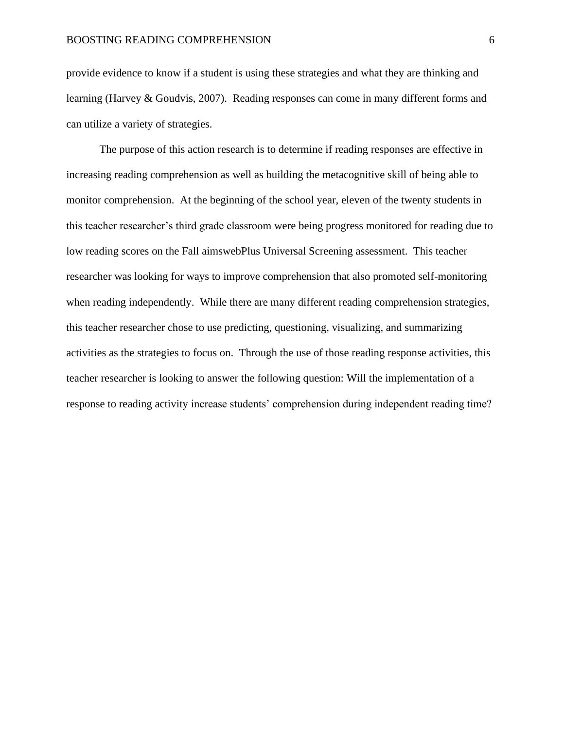provide evidence to know if a student is using these strategies and what they are thinking and learning (Harvey & Goudvis, 2007). Reading responses can come in many different forms and can utilize a variety of strategies.

The purpose of this action research is to determine if reading responses are effective in increasing reading comprehension as well as building the metacognitive skill of being able to monitor comprehension. At the beginning of the school year, eleven of the twenty students in this teacher researcher's third grade classroom were being progress monitored for reading due to low reading scores on the Fall aimswebPlus Universal Screening assessment. This teacher researcher was looking for ways to improve comprehension that also promoted self-monitoring when reading independently. While there are many different reading comprehension strategies, this teacher researcher chose to use predicting, questioning, visualizing, and summarizing activities as the strategies to focus on. Through the use of those reading response activities, this teacher researcher is looking to answer the following question: Will the implementation of a response to reading activity increase students' comprehension during independent reading time?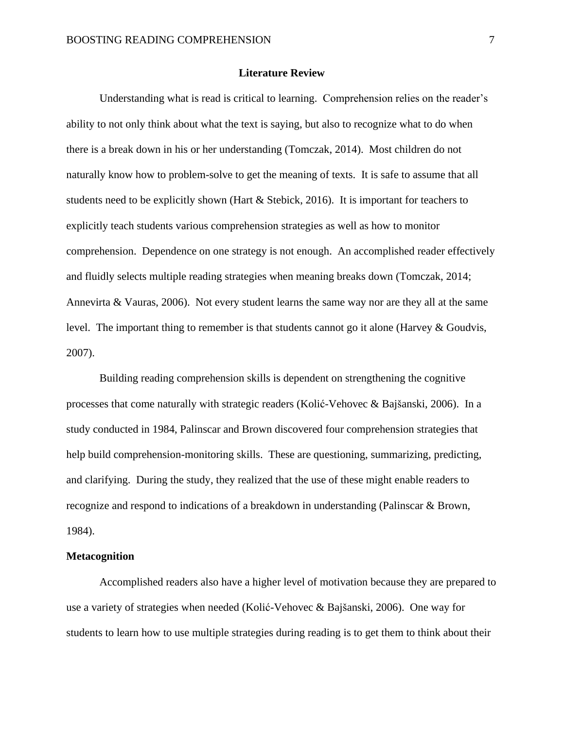#### **Literature Review**

Understanding what is read is critical to learning. Comprehension relies on the reader's ability to not only think about what the text is saying, but also to recognize what to do when there is a break down in his or her understanding (Tomczak, 2014). Most children do not naturally know how to problem-solve to get the meaning of texts. It is safe to assume that all students need to be explicitly shown (Hart  $&$  Stebick, 2016). It is important for teachers to explicitly teach students various comprehension strategies as well as how to monitor comprehension. Dependence on one strategy is not enough. An accomplished reader effectively and fluidly selects multiple reading strategies when meaning breaks down (Tomczak, 2014; Annevirta & Vauras, 2006). Not every student learns the same way nor are they all at the same level. The important thing to remember is that students cannot go it alone (Harvey & Goudvis, 2007).

Building reading comprehension skills is dependent on strengthening the cognitive processes that come naturally with strategic readers (Kolić-Vehovec & Bajšanski, 2006). In a study conducted in 1984, Palinscar and Brown discovered four comprehension strategies that help build comprehension-monitoring skills. These are questioning, summarizing, predicting, and clarifying. During the study, they realized that the use of these might enable readers to recognize and respond to indications of a breakdown in understanding (Palinscar & Brown, 1984).

#### **Metacognition**

Accomplished readers also have a higher level of motivation because they are prepared to use a variety of strategies when needed (Kolić-Vehovec & Bajšanski, 2006). One way for students to learn how to use multiple strategies during reading is to get them to think about their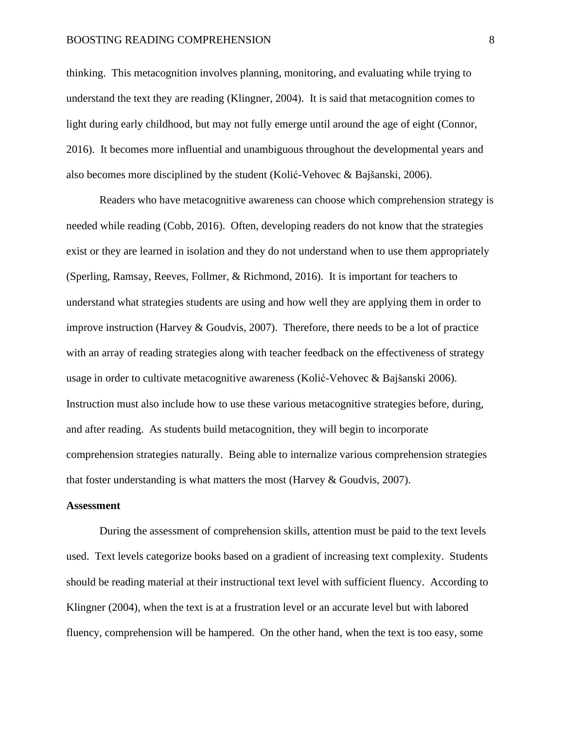#### BOOSTING READING COMPREHENSION 8

thinking. This metacognition involves planning, monitoring, and evaluating while trying to understand the text they are reading (Klingner, 2004). It is said that metacognition comes to light during early childhood, but may not fully emerge until around the age of eight (Connor, 2016). It becomes more influential and unambiguous throughout the developmental years and also becomes more disciplined by the student (Kolić-Vehovec & Bajšanski, 2006).

Readers who have metacognitive awareness can choose which comprehension strategy is needed while reading (Cobb, 2016). Often, developing readers do not know that the strategies exist or they are learned in isolation and they do not understand when to use them appropriately (Sperling, Ramsay, Reeves, Follmer, & Richmond, 2016). It is important for teachers to understand what strategies students are using and how well they are applying them in order to improve instruction (Harvey & Goudvis, 2007). Therefore, there needs to be a lot of practice with an array of reading strategies along with teacher feedback on the effectiveness of strategy usage in order to cultivate metacognitive awareness (Kolić-Vehovec & Bajšanski 2006). Instruction must also include how to use these various metacognitive strategies before, during, and after reading. As students build metacognition, they will begin to incorporate comprehension strategies naturally. Being able to internalize various comprehension strategies that foster understanding is what matters the most (Harvey  $\&$  Goudvis, 2007).

#### **Assessment**

During the assessment of comprehension skills, attention must be paid to the text levels used. Text levels categorize books based on a gradient of increasing text complexity. Students should be reading material at their instructional text level with sufficient fluency. According to Klingner (2004), when the text is at a frustration level or an accurate level but with labored fluency, comprehension will be hampered. On the other hand, when the text is too easy, some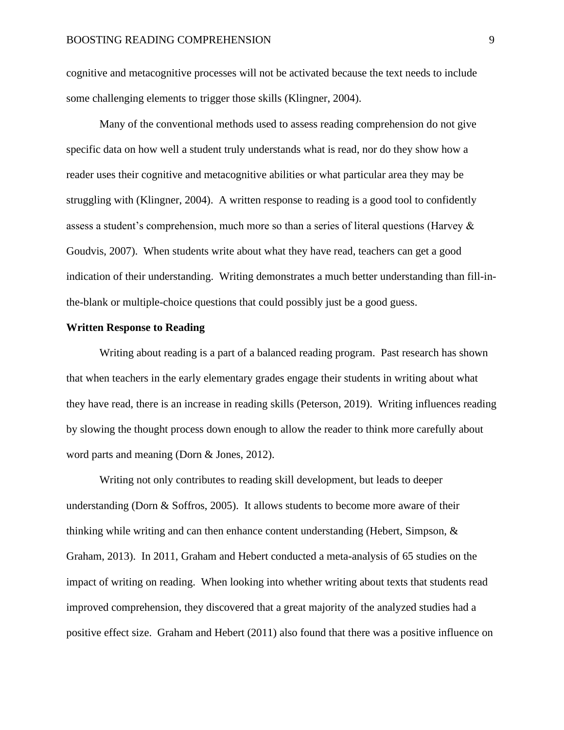cognitive and metacognitive processes will not be activated because the text needs to include some challenging elements to trigger those skills (Klingner, 2004).

Many of the conventional methods used to assess reading comprehension do not give specific data on how well a student truly understands what is read, nor do they show how a reader uses their cognitive and metacognitive abilities or what particular area they may be struggling with (Klingner, 2004). A written response to reading is a good tool to confidently assess a student's comprehension, much more so than a series of literal questions (Harvey & Goudvis, 2007). When students write about what they have read, teachers can get a good indication of their understanding. Writing demonstrates a much better understanding than fill-inthe-blank or multiple-choice questions that could possibly just be a good guess.

#### **Written Response to Reading**

Writing about reading is a part of a balanced reading program. Past research has shown that when teachers in the early elementary grades engage their students in writing about what they have read, there is an increase in reading skills (Peterson, 2019). Writing influences reading by slowing the thought process down enough to allow the reader to think more carefully about word parts and meaning (Dorn & Jones, 2012).

Writing not only contributes to reading skill development, but leads to deeper understanding (Dorn & Soffros, 2005). It allows students to become more aware of their thinking while writing and can then enhance content understanding (Hebert, Simpson, & Graham, 2013). In 2011, Graham and Hebert conducted a meta-analysis of 65 studies on the impact of writing on reading. When looking into whether writing about texts that students read improved comprehension, they discovered that a great majority of the analyzed studies had a positive effect size. Graham and Hebert (2011) also found that there was a positive influence on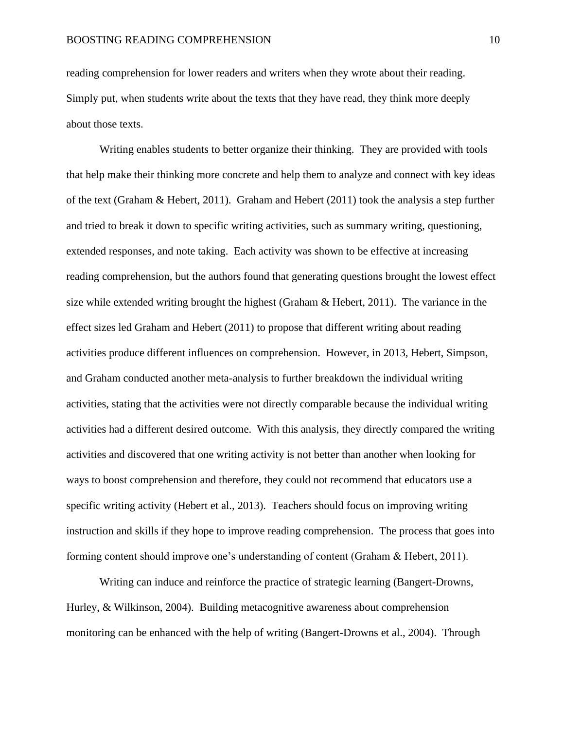reading comprehension for lower readers and writers when they wrote about their reading. Simply put, when students write about the texts that they have read, they think more deeply about those texts.

Writing enables students to better organize their thinking. They are provided with tools that help make their thinking more concrete and help them to analyze and connect with key ideas of the text (Graham & Hebert, 2011). Graham and Hebert (2011) took the analysis a step further and tried to break it down to specific writing activities, such as summary writing, questioning, extended responses, and note taking. Each activity was shown to be effective at increasing reading comprehension, but the authors found that generating questions brought the lowest effect size while extended writing brought the highest (Graham & Hebert, 2011). The variance in the effect sizes led Graham and Hebert (2011) to propose that different writing about reading activities produce different influences on comprehension. However, in 2013, Hebert, Simpson, and Graham conducted another meta-analysis to further breakdown the individual writing activities, stating that the activities were not directly comparable because the individual writing activities had a different desired outcome. With this analysis, they directly compared the writing activities and discovered that one writing activity is not better than another when looking for ways to boost comprehension and therefore, they could not recommend that educators use a specific writing activity (Hebert et al., 2013). Teachers should focus on improving writing instruction and skills if they hope to improve reading comprehension. The process that goes into forming content should improve one's understanding of content (Graham & Hebert, 2011).

Writing can induce and reinforce the practice of strategic learning (Bangert-Drowns, Hurley, & Wilkinson, 2004). Building metacognitive awareness about comprehension monitoring can be enhanced with the help of writing (Bangert-Drowns et al., 2004). Through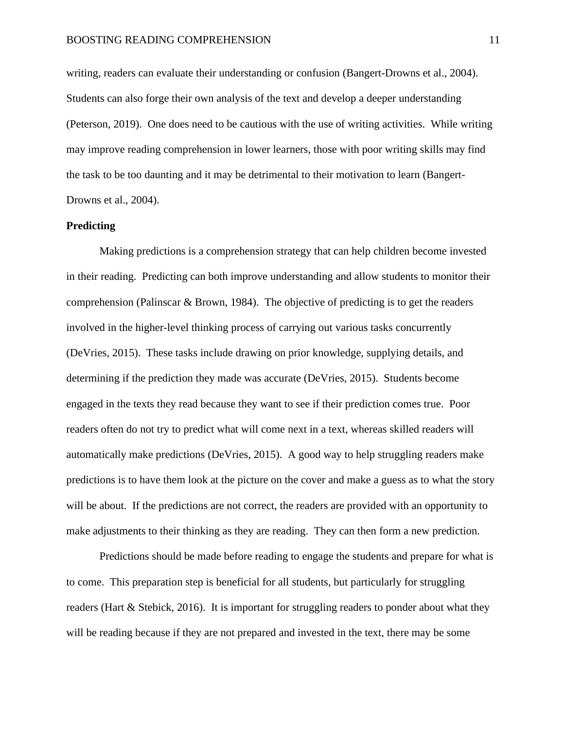writing, readers can evaluate their understanding or confusion (Bangert-Drowns et al., 2004). Students can also forge their own analysis of the text and develop a deeper understanding (Peterson, 2019). One does need to be cautious with the use of writing activities. While writing may improve reading comprehension in lower learners, those with poor writing skills may find the task to be too daunting and it may be detrimental to their motivation to learn (Bangert-Drowns et al., 2004).

#### **Predicting**

Making predictions is a comprehension strategy that can help children become invested in their reading. Predicting can both improve understanding and allow students to monitor their comprehension (Palinscar & Brown, 1984). The objective of predicting is to get the readers involved in the higher-level thinking process of carrying out various tasks concurrently (DeVries, 2015). These tasks include drawing on prior knowledge, supplying details, and determining if the prediction they made was accurate (DeVries, 2015). Students become engaged in the texts they read because they want to see if their prediction comes true. Poor readers often do not try to predict what will come next in a text, whereas skilled readers will automatically make predictions (DeVries, 2015). A good way to help struggling readers make predictions is to have them look at the picture on the cover and make a guess as to what the story will be about. If the predictions are not correct, the readers are provided with an opportunity to make adjustments to their thinking as they are reading. They can then form a new prediction.

Predictions should be made before reading to engage the students and prepare for what is to come. This preparation step is beneficial for all students, but particularly for struggling readers (Hart & Stebick, 2016). It is important for struggling readers to ponder about what they will be reading because if they are not prepared and invested in the text, there may be some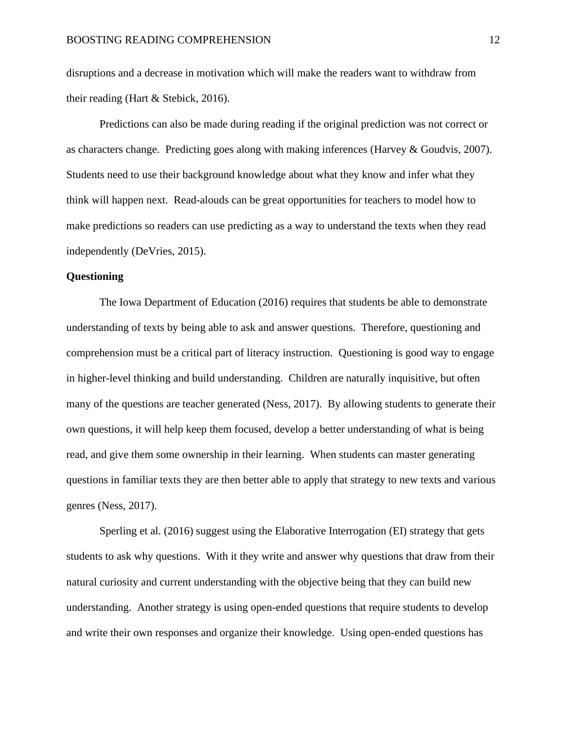disruptions and a decrease in motivation which will make the readers want to withdraw from their reading (Hart & Stebick, 2016).

Predictions can also be made during reading if the original prediction was not correct or as characters change. Predicting goes along with making inferences (Harvey & Goudvis, 2007). Students need to use their background knowledge about what they know and infer what they think will happen next. Read-alouds can be great opportunities for teachers to model how to make predictions so readers can use predicting as a way to understand the texts when they read independently (DeVries, 2015).

#### **Questioning**

The Iowa Department of Education (2016) requires that students be able to demonstrate understanding of texts by being able to ask and answer questions. Therefore, questioning and comprehension must be a critical part of literacy instruction. Questioning is good way to engage in higher-level thinking and build understanding. Children are naturally inquisitive, but often many of the questions are teacher generated (Ness, 2017). By allowing students to generate their own questions, it will help keep them focused, develop a better understanding of what is being read, and give them some ownership in their learning. When students can master generating questions in familiar texts they are then better able to apply that strategy to new texts and various genres (Ness, 2017).

Sperling et al. (2016) suggest using the Elaborative Interrogation (EI) strategy that gets students to ask why questions. With it they write and answer why questions that draw from their natural curiosity and current understanding with the objective being that they can build new understanding. Another strategy is using open-ended questions that require students to develop and write their own responses and organize their knowledge. Using open-ended questions has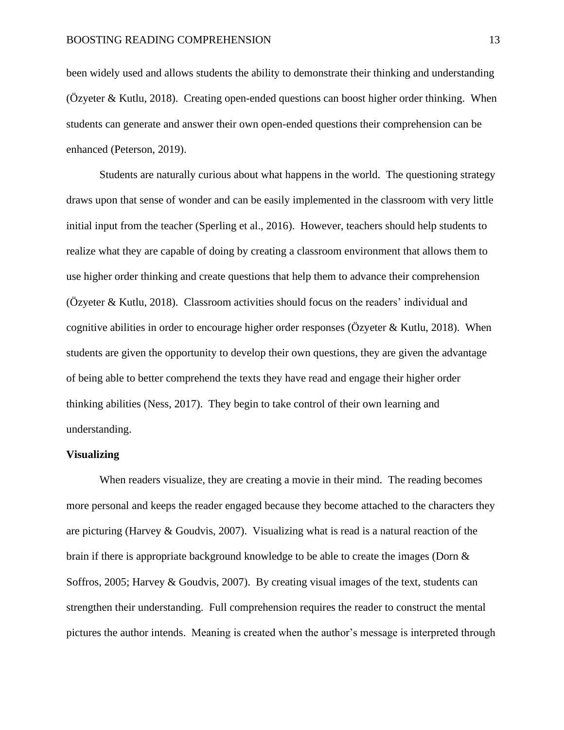been widely used and allows students the ability to demonstrate their thinking and understanding (Özyeter & Kutlu, 2018). Creating open-ended questions can boost higher order thinking. When students can generate and answer their own open-ended questions their comprehension can be enhanced (Peterson, 2019).

Students are naturally curious about what happens in the world. The questioning strategy draws upon that sense of wonder and can be easily implemented in the classroom with very little initial input from the teacher (Sperling et al., 2016). However, teachers should help students to realize what they are capable of doing by creating a classroom environment that allows them to use higher order thinking and create questions that help them to advance their comprehension (Özyeter & Kutlu, 2018). Classroom activities should focus on the readers' individual and cognitive abilities in order to encourage higher order responses ( $\ddot{O}$ zyeter & Kutlu, 2018). When students are given the opportunity to develop their own questions, they are given the advantage of being able to better comprehend the texts they have read and engage their higher order thinking abilities (Ness, 2017). They begin to take control of their own learning and understanding.

#### **Visualizing**

When readers visualize, they are creating a movie in their mind. The reading becomes more personal and keeps the reader engaged because they become attached to the characters they are picturing (Harvey  $\&$  Goudvis, 2007). Visualizing what is read is a natural reaction of the brain if there is appropriate background knowledge to be able to create the images (Dorn & Soffros, 2005; Harvey & Goudvis, 2007). By creating visual images of the text, students can strengthen their understanding. Full comprehension requires the reader to construct the mental pictures the author intends. Meaning is created when the author's message is interpreted through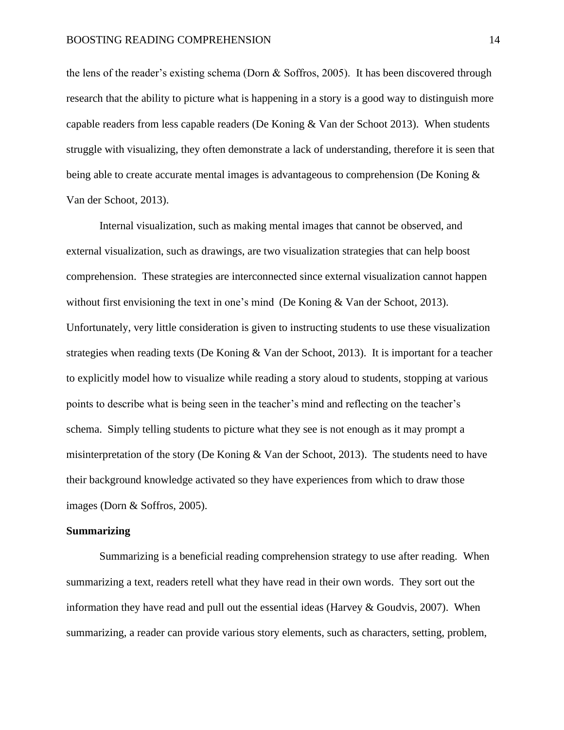the lens of the reader's existing schema (Dorn & Soffros, 2005). It has been discovered through research that the ability to picture what is happening in a story is a good way to distinguish more capable readers from less capable readers (De Koning & Van der Schoot 2013). When students struggle with visualizing, they often demonstrate a lack of understanding, therefore it is seen that being able to create accurate mental images is advantageous to comprehension (De Koning & Van der Schoot, 2013).

Internal visualization, such as making mental images that cannot be observed, and external visualization, such as drawings, are two visualization strategies that can help boost comprehension. These strategies are interconnected since external visualization cannot happen without first envisioning the text in one's mind (De Koning & Van der Schoot, 2013). Unfortunately, very little consideration is given to instructing students to use these visualization strategies when reading texts (De Koning & Van der Schoot, 2013). It is important for a teacher to explicitly model how to visualize while reading a story aloud to students, stopping at various points to describe what is being seen in the teacher's mind and reflecting on the teacher's schema. Simply telling students to picture what they see is not enough as it may prompt a misinterpretation of the story (De Koning & Van der Schoot, 2013). The students need to have their background knowledge activated so they have experiences from which to draw those images (Dorn & Soffros, 2005).

#### **Summarizing**

Summarizing is a beneficial reading comprehension strategy to use after reading. When summarizing a text, readers retell what they have read in their own words. They sort out the information they have read and pull out the essential ideas (Harvey  $&$  Goudvis, 2007). When summarizing, a reader can provide various story elements, such as characters, setting, problem,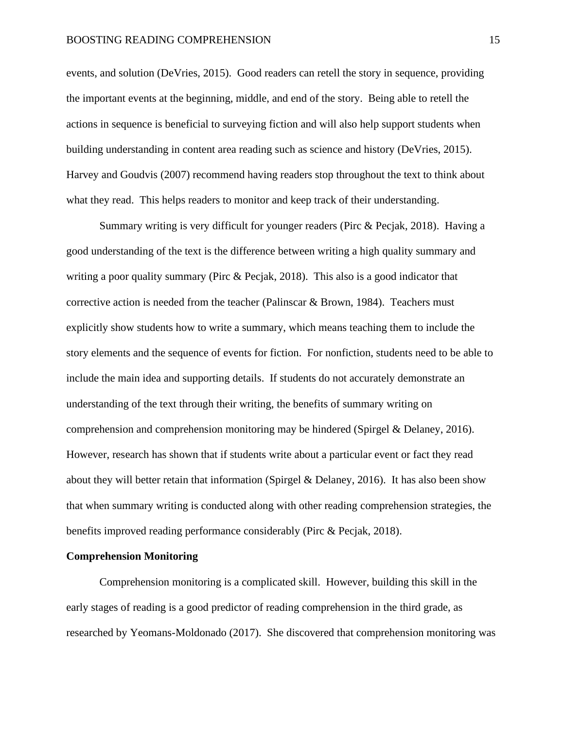events, and solution (DeVries, 2015). Good readers can retell the story in sequence, providing the important events at the beginning, middle, and end of the story. Being able to retell the actions in sequence is beneficial to surveying fiction and will also help support students when building understanding in content area reading such as science and history (DeVries, 2015). Harvey and Goudvis (2007) recommend having readers stop throughout the text to think about what they read. This helps readers to monitor and keep track of their understanding.

Summary writing is very difficult for younger readers (Pirc & Pecjak, 2018). Having a good understanding of the text is the difference between writing a high quality summary and writing a poor quality summary (Pirc & Pecjak, 2018). This also is a good indicator that corrective action is needed from the teacher (Palinscar & Brown, 1984). Teachers must explicitly show students how to write a summary, which means teaching them to include the story elements and the sequence of events for fiction. For nonfiction, students need to be able to include the main idea and supporting details. If students do not accurately demonstrate an understanding of the text through their writing, the benefits of summary writing on comprehension and comprehension monitoring may be hindered (Spirgel & Delaney, 2016). However, research has shown that if students write about a particular event or fact they read about they will better retain that information (Spirgel & Delaney, 2016). It has also been show that when summary writing is conducted along with other reading comprehension strategies, the benefits improved reading performance considerably (Pirc & Pecjak, 2018).

#### **Comprehension Monitoring**

Comprehension monitoring is a complicated skill. However, building this skill in the early stages of reading is a good predictor of reading comprehension in the third grade, as researched by Yeomans-Moldonado (2017). She discovered that comprehension monitoring was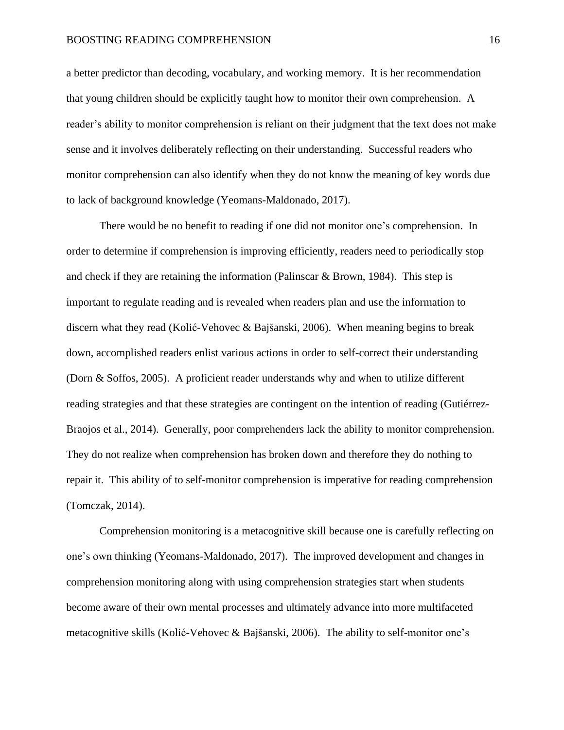a better predictor than decoding, vocabulary, and working memory. It is her recommendation that young children should be explicitly taught how to monitor their own comprehension. A reader's ability to monitor comprehension is reliant on their judgment that the text does not make sense and it involves deliberately reflecting on their understanding. Successful readers who monitor comprehension can also identify when they do not know the meaning of key words due to lack of background knowledge (Yeomans-Maldonado, 2017).

There would be no benefit to reading if one did not monitor one's comprehension. In order to determine if comprehension is improving efficiently, readers need to periodically stop and check if they are retaining the information (Palinscar & Brown, 1984). This step is important to regulate reading and is revealed when readers plan and use the information to discern what they read (Kolić-Vehovec & Bajšanski, 2006). When meaning begins to break down, accomplished readers enlist various actions in order to self-correct their understanding (Dorn & Soffos, 2005). A proficient reader understands why and when to utilize different reading strategies and that these strategies are contingent on the intention of reading (Gutiérrez-Braojos et al., 2014). Generally, poor comprehenders lack the ability to monitor comprehension. They do not realize when comprehension has broken down and therefore they do nothing to repair it. This ability of to self-monitor comprehension is imperative for reading comprehension (Tomczak, 2014).

Comprehension monitoring is a metacognitive skill because one is carefully reflecting on one's own thinking (Yeomans-Maldonado, 2017). The improved development and changes in comprehension monitoring along with using comprehension strategies start when students become aware of their own mental processes and ultimately advance into more multifaceted metacognitive skills (Kolić-Vehovec & Bajšanski, 2006). The ability to self-monitor one's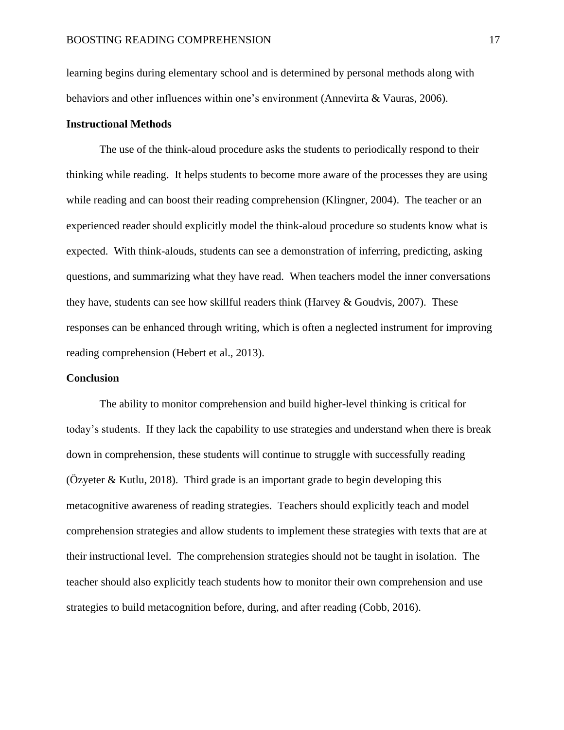learning begins during elementary school and is determined by personal methods along with behaviors and other influences within one's environment (Annevirta & Vauras, 2006).

#### **Instructional Methods**

The use of the think-aloud procedure asks the students to periodically respond to their thinking while reading. It helps students to become more aware of the processes they are using while reading and can boost their reading comprehension (Klingner, 2004). The teacher or an experienced reader should explicitly model the think-aloud procedure so students know what is expected. With think-alouds, students can see a demonstration of inferring, predicting, asking questions, and summarizing what they have read. When teachers model the inner conversations they have, students can see how skillful readers think (Harvey  $&$  Goudvis, 2007). These responses can be enhanced through writing, which is often a neglected instrument for improving reading comprehension (Hebert et al., 2013).

#### **Conclusion**

The ability to monitor comprehension and build higher-level thinking is critical for today's students. If they lack the capability to use strategies and understand when there is break down in comprehension, these students will continue to struggle with successfully reading (Özyeter & Kutlu, 2018). Third grade is an important grade to begin developing this metacognitive awareness of reading strategies. Teachers should explicitly teach and model comprehension strategies and allow students to implement these strategies with texts that are at their instructional level. The comprehension strategies should not be taught in isolation. The teacher should also explicitly teach students how to monitor their own comprehension and use strategies to build metacognition before, during, and after reading (Cobb, 2016).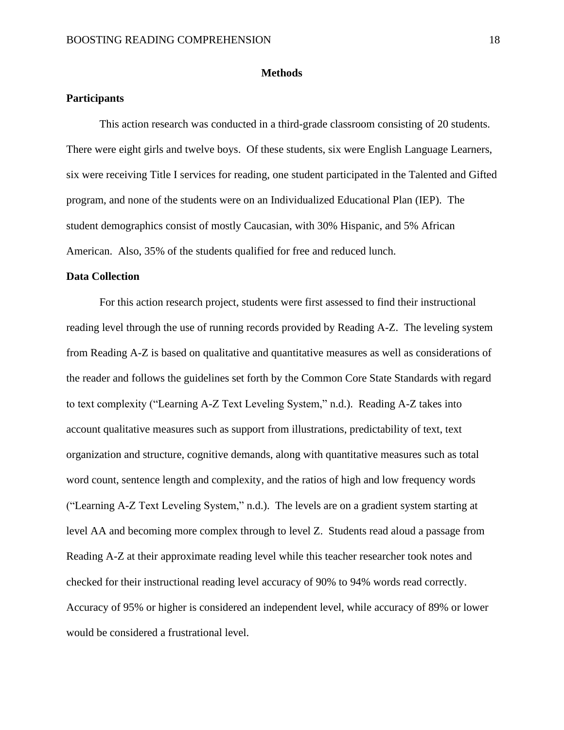#### **Methods**

#### **Participants**

This action research was conducted in a third-grade classroom consisting of 20 students. There were eight girls and twelve boys. Of these students, six were English Language Learners, six were receiving Title I services for reading, one student participated in the Talented and Gifted program, and none of the students were on an Individualized Educational Plan (IEP). The student demographics consist of mostly Caucasian, with 30% Hispanic, and 5% African American. Also, 35% of the students qualified for free and reduced lunch.

#### **Data Collection**

For this action research project, students were first assessed to find their instructional reading level through the use of running records provided by Reading A-Z. The leveling system from Reading A-Z is based on qualitative and quantitative measures as well as considerations of the reader and follows the guidelines set forth by the Common Core State Standards with regard to text complexity ("Learning A-Z Text Leveling System," n.d.). Reading A-Z takes into account qualitative measures such as support from illustrations, predictability of text, text organization and structure, cognitive demands, along with quantitative measures such as total word count, sentence length and complexity, and the ratios of high and low frequency words ("Learning A-Z Text Leveling System," n.d.). The levels are on a gradient system starting at level AA and becoming more complex through to level Z. Students read aloud a passage from Reading A-Z at their approximate reading level while this teacher researcher took notes and checked for their instructional reading level accuracy of 90% to 94% words read correctly. Accuracy of 95% or higher is considered an independent level, while accuracy of 89% or lower would be considered a frustrational level.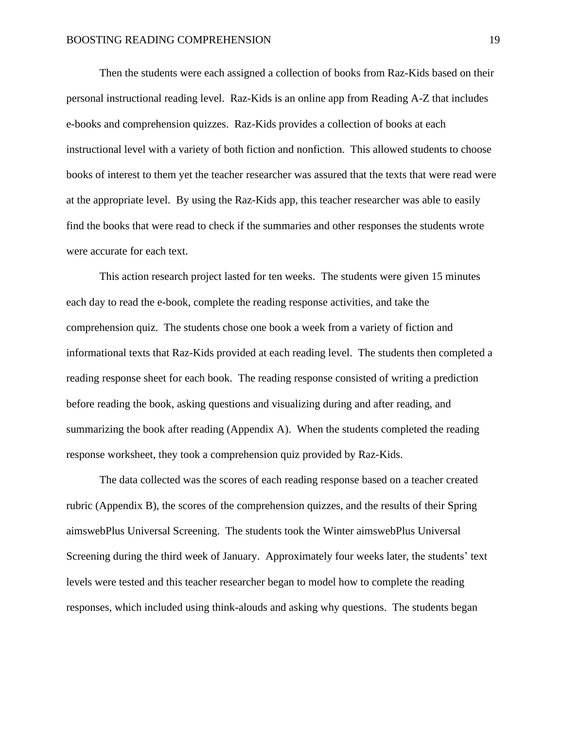Then the students were each assigned a collection of books from Raz-Kids based on their personal instructional reading level. Raz-Kids is an online app from Reading A-Z that includes e-books and comprehension quizzes. Raz-Kids provides a collection of books at each instructional level with a variety of both fiction and nonfiction. This allowed students to choose books of interest to them yet the teacher researcher was assured that the texts that were read were at the appropriate level. By using the Raz-Kids app, this teacher researcher was able to easily find the books that were read to check if the summaries and other responses the students wrote were accurate for each text.

This action research project lasted for ten weeks. The students were given 15 minutes each day to read the e-book, complete the reading response activities, and take the comprehension quiz. The students chose one book a week from a variety of fiction and informational texts that Raz-Kids provided at each reading level. The students then completed a reading response sheet for each book. The reading response consisted of writing a prediction before reading the book, asking questions and visualizing during and after reading, and summarizing the book after reading (Appendix A). When the students completed the reading response worksheet, they took a comprehension quiz provided by Raz-Kids.

The data collected was the scores of each reading response based on a teacher created rubric (Appendix B), the scores of the comprehension quizzes, and the results of their Spring aimswebPlus Universal Screening. The students took the Winter aimswebPlus Universal Screening during the third week of January. Approximately four weeks later, the students' text levels were tested and this teacher researcher began to model how to complete the reading responses, which included using think-alouds and asking why questions. The students began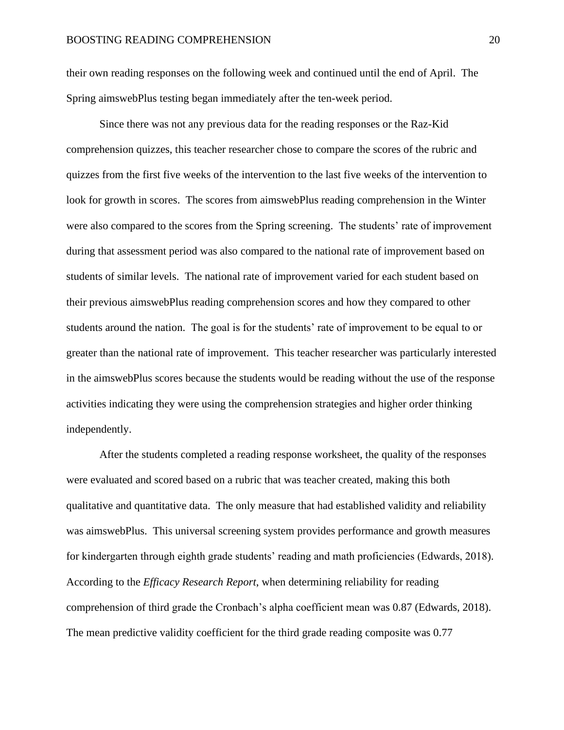their own reading responses on the following week and continued until the end of April. The Spring aimswebPlus testing began immediately after the ten-week period.

Since there was not any previous data for the reading responses or the Raz-Kid comprehension quizzes, this teacher researcher chose to compare the scores of the rubric and quizzes from the first five weeks of the intervention to the last five weeks of the intervention to look for growth in scores. The scores from aimswebPlus reading comprehension in the Winter were also compared to the scores from the Spring screening. The students' rate of improvement during that assessment period was also compared to the national rate of improvement based on students of similar levels. The national rate of improvement varied for each student based on their previous aimswebPlus reading comprehension scores and how they compared to other students around the nation. The goal is for the students' rate of improvement to be equal to or greater than the national rate of improvement. This teacher researcher was particularly interested in the aimswebPlus scores because the students would be reading without the use of the response activities indicating they were using the comprehension strategies and higher order thinking independently.

After the students completed a reading response worksheet, the quality of the responses were evaluated and scored based on a rubric that was teacher created, making this both qualitative and quantitative data. The only measure that had established validity and reliability was aimswebPlus. This universal screening system provides performance and growth measures for kindergarten through eighth grade students' reading and math proficiencies (Edwards, 2018). According to the *Efficacy Research Report*, when determining reliability for reading comprehension of third grade the Cronbach's alpha coefficient mean was 0.87 (Edwards, 2018). The mean predictive validity coefficient for the third grade reading composite was 0.77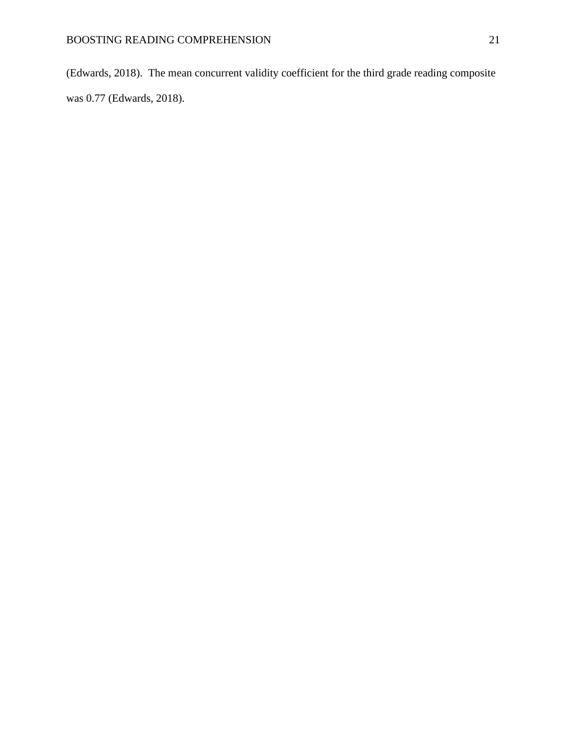(Edwards, 2018). The mean concurrent validity coefficient for the third grade reading composite was 0.77 (Edwards, 2018).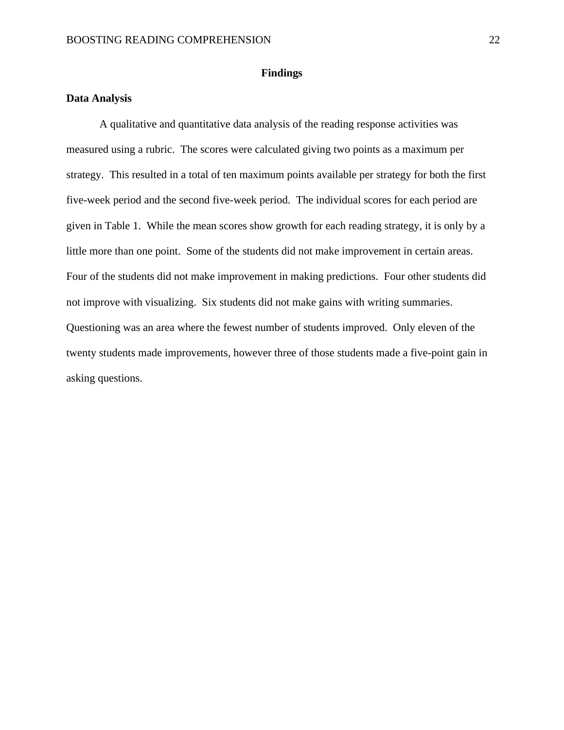#### **Findings**

#### **Data Analysis**

A qualitative and quantitative data analysis of the reading response activities was measured using a rubric. The scores were calculated giving two points as a maximum per strategy. This resulted in a total of ten maximum points available per strategy for both the first five-week period and the second five-week period. The individual scores for each period are given in Table 1. While the mean scores show growth for each reading strategy, it is only by a little more than one point. Some of the students did not make improvement in certain areas. Four of the students did not make improvement in making predictions. Four other students did not improve with visualizing. Six students did not make gains with writing summaries. Questioning was an area where the fewest number of students improved. Only eleven of the twenty students made improvements, however three of those students made a five-point gain in asking questions.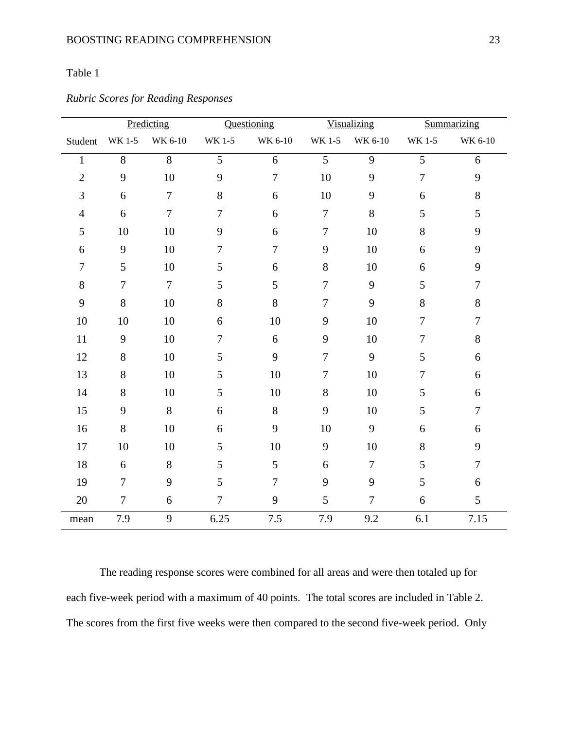### Table 1

|                |                | Predicting       |                | Questioning      |                  | <b>Visualizing</b> |                  | Summarizing      |
|----------------|----------------|------------------|----------------|------------------|------------------|--------------------|------------------|------------------|
| Student        | WK 1-5         | WK 6-10          | WK 1-5         | WK 6-10          | WK 1-5           | WK 6-10            | WK 1-5           | WK 6-10          |
| $\mathbf{1}$   | 8              | $\overline{8}$   | $\overline{5}$ | 6                | $\overline{5}$   | 9                  | $\overline{5}$   | 6                |
| $\overline{2}$ | 9              | $10\,$           | 9              | $\tau$           | $10\,$           | 9                  | $\overline{7}$   | 9                |
| 3              | 6              | $\overline{7}$   | 8              | 6                | 10               | 9                  | 6                | $8\,$            |
| $\overline{4}$ | 6              | $\boldsymbol{7}$ | $\overline{7}$ | 6                | $\boldsymbol{7}$ | $8\,$              | 5                | 5                |
| 5              | 10             | 10               | 9              | 6                | $\tau$           | 10                 | 8                | 9                |
| 6              | 9              | 10               | $\tau$         | $\boldsymbol{7}$ | 9                | 10                 | 6                | 9                |
| $\overline{7}$ | 5              | 10               | 5              | 6                | $8\,$            | 10                 | 6                | 9                |
| $8\,$          | $\overline{7}$ | $\overline{7}$   | 5              | 5                | $\overline{7}$   | 9                  | 5                | $\overline{7}$   |
| 9              | 8              | $10\,$           | $8\,$          | 8                | $\overline{7}$   | 9                  | $8\,$            | 8                |
| 10             | 10             | 10               | 6              | 10               | 9                | 10                 | $\overline{7}$   | $\overline{7}$   |
| 11             | 9              | 10               | $\tau$         | 6                | 9                | 10                 | $\boldsymbol{7}$ | 8                |
| 12             | $8\,$          | $10\,$           | 5              | 9                | $\boldsymbol{7}$ | 9                  | $\mathfrak{S}$   | $\sqrt{6}$       |
| 13             | 8              | 10               | 5              | 10               | $\overline{7}$   | 10                 | $\overline{7}$   | 6                |
| 14             | 8              | 10               | 5              | $10\,$           | $8\,$            | 10                 | 5                | 6                |
| 15             | 9              | $8\,$            | 6              | $8\,$            | 9                | 10                 | 5                | $\tau$           |
| 16             | 8              | 10               | 6              | 9                | 10               | 9                  | 6                | $\boldsymbol{6}$ |
| 17             | 10             | 10               | 5              | 10               | 9                | 10                 | 8                | 9                |
| $18\,$         | 6              | $8\,$            | 5              | 5                | 6                | $\overline{7}$     | 5                | $\overline{7}$   |
| 19             | $\overline{7}$ | 9                | 5              | $\overline{7}$   | 9                | 9                  | 5                | 6                |
| 20             | $\tau$         | 6                | $\overline{7}$ | 9                | 5                | $\overline{7}$     | 6                | 5                |
| mean           | 7.9            | 9                | 6.25           | $7.5\,$          | 7.9              | 9.2                | $6.1\,$          | 7.15             |

### *Rubric Scores for Reading Responses*

The reading response scores were combined for all areas and were then totaled up for each five-week period with a maximum of 40 points. The total scores are included in Table 2. The scores from the first five weeks were then compared to the second five-week period. Only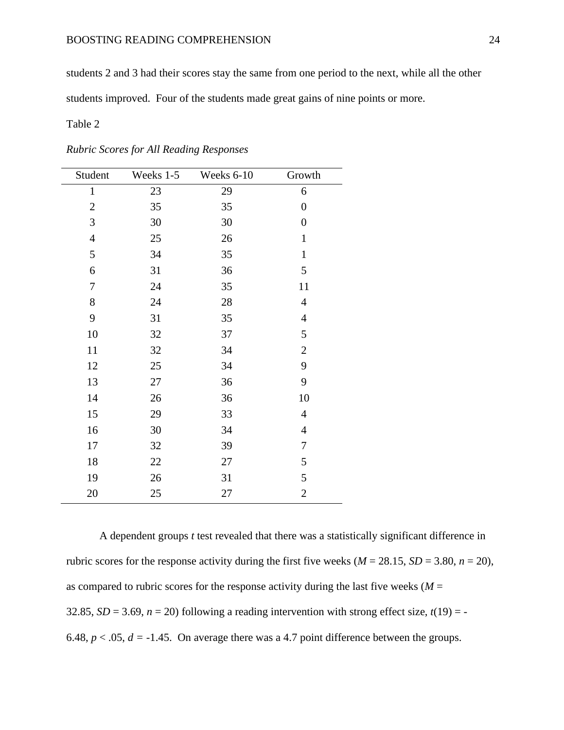#### BOOSTING READING COMPREHENSION 24

students 2 and 3 had their scores stay the same from one period to the next, while all the other

students improved. Four of the students made great gains of nine points or more.

#### Table 2

| Student          | Weeks 1-5 | Weeks 6-10 | Growth           |
|------------------|-----------|------------|------------------|
| $\mathbf{1}$     | 23        | 29         | 6                |
| $\mathbf{2}$     | 35        | 35         | $\boldsymbol{0}$ |
| 3                | 30        | 30         | $\boldsymbol{0}$ |
| $\overline{4}$   | 25        | 26         | $\mathbf{1}$     |
| 5                | 34        | 35         | $\mathbf{1}$     |
| 6                | 31        | 36         | 5                |
| $\boldsymbol{7}$ | 24        | 35         | 11               |
| $8\,$            | 24        | 28         | $\overline{4}$   |
| 9                | 31        | 35         | $\overline{4}$   |
| 10               | 32        | 37         | 5                |
| 11               | 32        | 34         | $\overline{2}$   |
| 12               | 25        | 34         | 9                |
| 13               | 27        | 36         | 9                |
| 14               | 26        | 36         | 10               |
| 15               | 29        | 33         | $\overline{4}$   |
| 16               | 30        | 34         | $\overline{4}$   |
| 17               | 32        | 39         | $\tau$           |
| 18               | 22        | 27         | 5                |
| 19               | 26        | 31         | 5                |
| 20               | 25        | 27         | $\mathbf{2}$     |

*Rubric Scores for All Reading Responses*

A dependent groups *t* test revealed that there was a statistically significant difference in rubric scores for the response activity during the first five weeks ( $M = 28.15$ ,  $SD = 3.80$ ,  $n = 20$ ), as compared to rubric scores for the response activity during the last five weeks ( $M =$ 32.85,  $SD = 3.69$ ,  $n = 20$ ) following a reading intervention with strong effect size,  $t(19) = -$ 6.48,  $p < .05$ ,  $d = -1.45$ . On average there was a 4.7 point difference between the groups.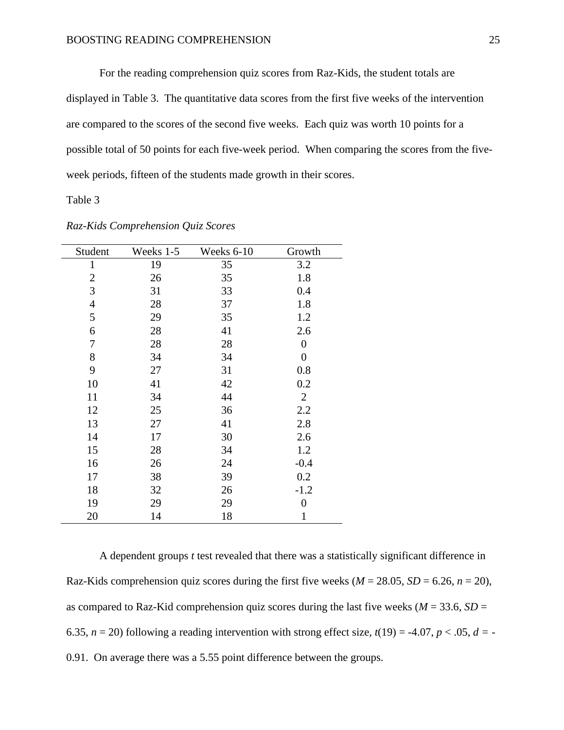For the reading comprehension quiz scores from Raz-Kids, the student totals are displayed in Table 3. The quantitative data scores from the first five weeks of the intervention are compared to the scores of the second five weeks. Each quiz was worth 10 points for a possible total of 50 points for each five-week period. When comparing the scores from the fiveweek periods, fifteen of the students made growth in their scores.

Table 3

| Student        | Weeks 1-5 | Weeks 6-10 | Growth           |
|----------------|-----------|------------|------------------|
| $\mathbf{1}$   | 19        | 35         | 3.2              |
| $\mathbf{2}$   | 26        | 35         | 1.8              |
| 3              | 31        | 33         | 0.4              |
| $\overline{4}$ | 28        | 37         | 1.8              |
| 5              | 29        | 35         | 1.2              |
| 6              | 28        | 41         | 2.6              |
| 7              | 28        | 28         | $\overline{0}$   |
| 8              | 34        | 34         | $\boldsymbol{0}$ |
| 9              | 27        | 31         | 0.8              |
| 10             | 41        | 42         | 0.2              |
| 11             | 34        | 44         | $\overline{2}$   |
| 12             | 25        | 36         | 2.2              |
| 13             | 27        | 41         | 2.8              |
| 14             | 17        | 30         | 2.6              |
| 15             | 28        | 34         | 1.2              |
| 16             | 26        | 24         | $-0.4$           |
| 17             | 38        | 39         | 0.2              |
| 18             | 32        | 26         | $-1.2$           |
| 19             | 29        | 29         | $\overline{0}$   |
| 20             | 14        | 18         | 1                |

*Raz-Kids Comprehension Quiz Scores*

A dependent groups *t* test revealed that there was a statistically significant difference in Raz-Kids comprehension quiz scores during the first five weeks ( $M = 28.05$ ,  $SD = 6.26$ ,  $n = 20$ ), as compared to Raz-Kid comprehension quiz scores during the last five weeks ( $M = 33.6$ ,  $SD =$ 6.35,  $n = 20$ ) following a reading intervention with strong effect size,  $t(19) = -4.07$ ,  $p < .05$ ,  $d = -$ 0.91. On average there was a 5.55 point difference between the groups.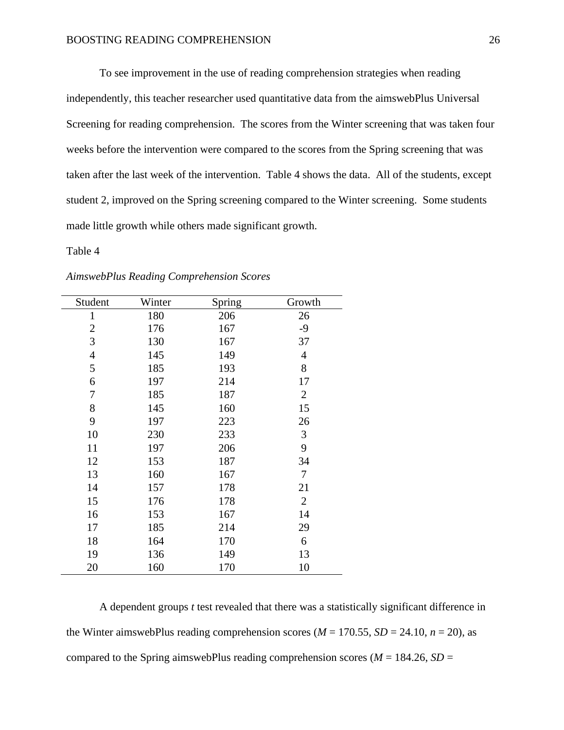To see improvement in the use of reading comprehension strategies when reading independently, this teacher researcher used quantitative data from the aimswebPlus Universal Screening for reading comprehension. The scores from the Winter screening that was taken four weeks before the intervention were compared to the scores from the Spring screening that was taken after the last week of the intervention. Table 4 shows the data. All of the students, except student 2, improved on the Spring screening compared to the Winter screening. Some students made little growth while others made significant growth.

Table 4

| Student          | Winter | Spring | Growth         |
|------------------|--------|--------|----------------|
| $\mathbf{1}$     | 180    | 206    | 26             |
| $\mathbf{2}$     | 176    | 167    | $-9$           |
| 3                | 130    | 167    | 37             |
| $\overline{4}$   | 145    | 149    | 4              |
| $\mathfrak s$    | 185    | 193    | 8              |
| 6                | 197    | 214    | 17             |
| $\boldsymbol{7}$ | 185    | 187    | $\overline{2}$ |
| 8                | 145    | 160    | 15             |
| 9                | 197    | 223    | 26             |
| 10               | 230    | 233    | 3              |
| 11               | 197    | 206    | 9              |
| 12               | 153    | 187    | 34             |
| 13               | 160    | 167    | 7              |
| 14               | 157    | 178    | 21             |
| 15               | 176    | 178    | $\overline{2}$ |
| 16               | 153    | 167    | 14             |
| 17               | 185    | 214    | 29             |
| 18               | 164    | 170    | 6              |
| 19               | 136    | 149    | 13             |
| 20               | 160    | 170    | 10             |

*AimswebPlus Reading Comprehension Scores*

A dependent groups *t* test revealed that there was a statistically significant difference in the Winter aimswebPlus reading comprehension scores ( $M = 170.55$ ,  $SD = 24.10$ ,  $n = 20$ ), as compared to the Spring aimswebPlus reading comprehension scores ( $M = 184.26$ ,  $SD =$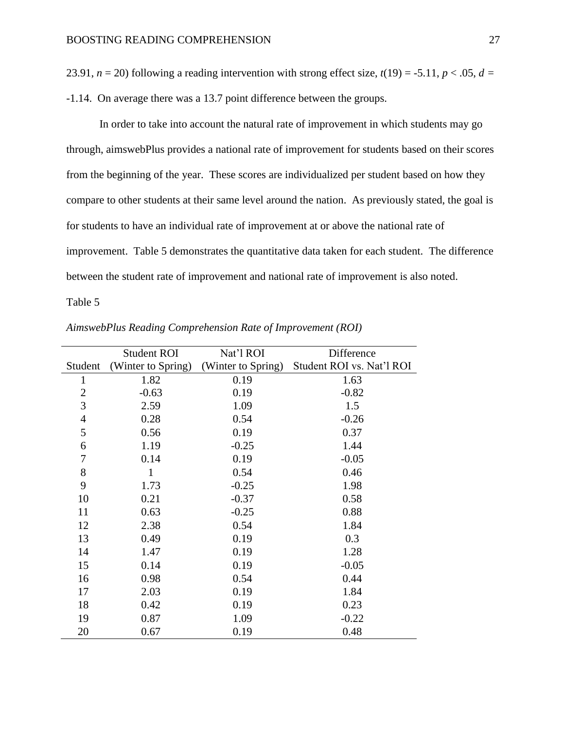23.91,  $n = 20$ ) following a reading intervention with strong effect size,  $t(19) = -5.11$ ,  $p < .05$ ,  $d =$ 

-1.14. On average there was a 13.7 point difference between the groups.

In order to take into account the natural rate of improvement in which students may go through, aimswebPlus provides a national rate of improvement for students based on their scores from the beginning of the year. These scores are individualized per student based on how they compare to other students at their same level around the nation. As previously stated, the goal is for students to have an individual rate of improvement at or above the national rate of improvement. Table 5 demonstrates the quantitative data taken for each student. The difference between the student rate of improvement and national rate of improvement is also noted.

Table 5

|                | <b>Student ROI</b> | Nat'l ROI          | Difference                |
|----------------|--------------------|--------------------|---------------------------|
| Student        | (Winter to Spring) | (Winter to Spring) | Student ROI vs. Nat'l ROI |
| $\mathbf{1}$   | 1.82               | 0.19               | 1.63                      |
| $\overline{2}$ | $-0.63$            | 0.19               | $-0.82$                   |
| 3              | 2.59               | 1.09               | 1.5                       |
| $\overline{4}$ | 0.28               | 0.54               | $-0.26$                   |
| 5              | 0.56               | 0.19               | 0.37                      |
| 6              | 1.19               | $-0.25$            | 1.44                      |
| $\overline{7}$ | 0.14               | 0.19               | $-0.05$                   |
| 8              | $\mathbf{1}$       | 0.54               | 0.46                      |
| 9              | 1.73               | $-0.25$            | 1.98                      |
| 10             | 0.21               | $-0.37$            | 0.58                      |
| 11             | 0.63               | $-0.25$            | 0.88                      |
| 12             | 2.38               | 0.54               | 1.84                      |
| 13             | 0.49               | 0.19               | 0.3                       |
| 14             | 1.47               | 0.19               | 1.28                      |
| 15             | 0.14               | 0.19               | $-0.05$                   |
| 16             | 0.98               | 0.54               | 0.44                      |
| 17             | 2.03               | 0.19               | 1.84                      |
| 18             | 0.42               | 0.19               | 0.23                      |
| 19             | 0.87               | 1.09               | $-0.22$                   |
| 20             | 0.67               | 0.19               | 0.48                      |

*AimswebPlus Reading Comprehension Rate of Improvement (ROI)*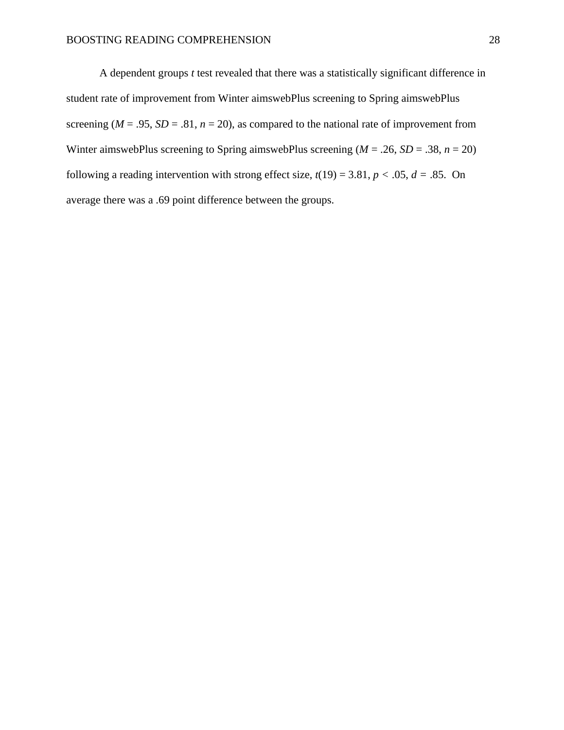A dependent groups *t* test revealed that there was a statistically significant difference in student rate of improvement from Winter aimswebPlus screening to Spring aimswebPlus screening ( $M = .95$ ,  $SD = .81$ ,  $n = 20$ ), as compared to the national rate of improvement from Winter aimswebPlus screening to Spring aimswebPlus screening  $(M = .26, SD = .38, n = 20)$ following a reading intervention with strong effect size,  $t(19) = 3.81$ ,  $p < .05$ ,  $d = .85$ . On average there was a .69 point difference between the groups.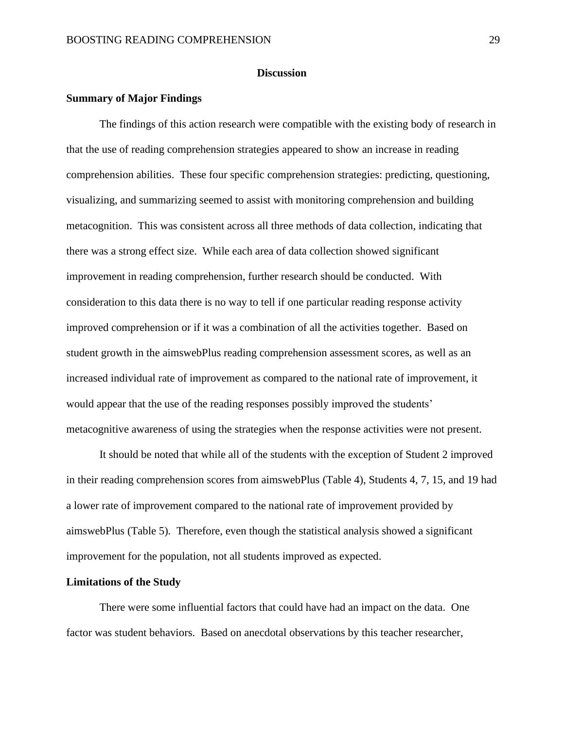#### **Discussion**

#### **Summary of Major Findings**

The findings of this action research were compatible with the existing body of research in that the use of reading comprehension strategies appeared to show an increase in reading comprehension abilities. These four specific comprehension strategies: predicting, questioning, visualizing, and summarizing seemed to assist with monitoring comprehension and building metacognition. This was consistent across all three methods of data collection, indicating that there was a strong effect size. While each area of data collection showed significant improvement in reading comprehension, further research should be conducted. With consideration to this data there is no way to tell if one particular reading response activity improved comprehension or if it was a combination of all the activities together. Based on student growth in the aimswebPlus reading comprehension assessment scores, as well as an increased individual rate of improvement as compared to the national rate of improvement, it would appear that the use of the reading responses possibly improved the students' metacognitive awareness of using the strategies when the response activities were not present.

It should be noted that while all of the students with the exception of Student 2 improved in their reading comprehension scores from aimswebPlus (Table 4), Students 4, 7, 15, and 19 had a lower rate of improvement compared to the national rate of improvement provided by aimswebPlus (Table 5). Therefore, even though the statistical analysis showed a significant improvement for the population, not all students improved as expected.

#### **Limitations of the Study**

There were some influential factors that could have had an impact on the data. One factor was student behaviors. Based on anecdotal observations by this teacher researcher,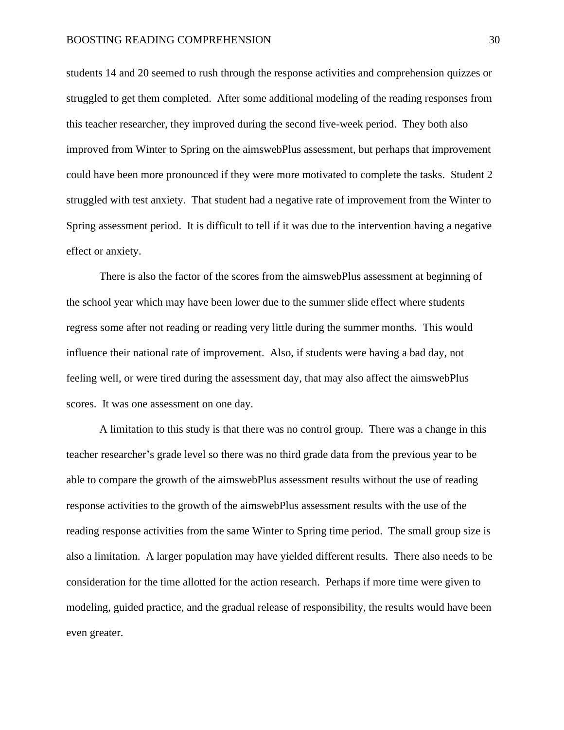students 14 and 20 seemed to rush through the response activities and comprehension quizzes or struggled to get them completed. After some additional modeling of the reading responses from this teacher researcher, they improved during the second five-week period. They both also improved from Winter to Spring on the aimswebPlus assessment, but perhaps that improvement could have been more pronounced if they were more motivated to complete the tasks. Student 2 struggled with test anxiety. That student had a negative rate of improvement from the Winter to Spring assessment period. It is difficult to tell if it was due to the intervention having a negative effect or anxiety.

There is also the factor of the scores from the aimswebPlus assessment at beginning of the school year which may have been lower due to the summer slide effect where students regress some after not reading or reading very little during the summer months. This would influence their national rate of improvement. Also, if students were having a bad day, not feeling well, or were tired during the assessment day, that may also affect the aimswebPlus scores. It was one assessment on one day.

A limitation to this study is that there was no control group. There was a change in this teacher researcher's grade level so there was no third grade data from the previous year to be able to compare the growth of the aimswebPlus assessment results without the use of reading response activities to the growth of the aimswebPlus assessment results with the use of the reading response activities from the same Winter to Spring time period. The small group size is also a limitation. A larger population may have yielded different results. There also needs to be consideration for the time allotted for the action research. Perhaps if more time were given to modeling, guided practice, and the gradual release of responsibility, the results would have been even greater.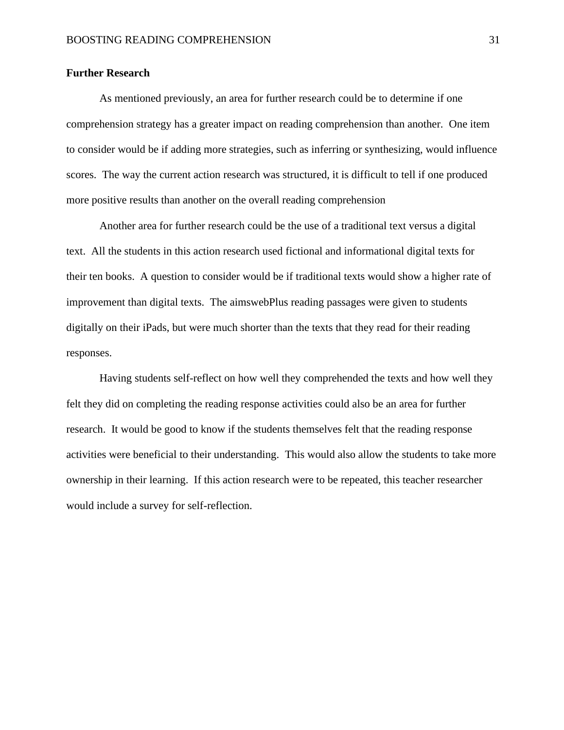#### **Further Research**

As mentioned previously, an area for further research could be to determine if one comprehension strategy has a greater impact on reading comprehension than another. One item to consider would be if adding more strategies, such as inferring or synthesizing, would influence scores. The way the current action research was structured, it is difficult to tell if one produced more positive results than another on the overall reading comprehension

Another area for further research could be the use of a traditional text versus a digital text. All the students in this action research used fictional and informational digital texts for their ten books. A question to consider would be if traditional texts would show a higher rate of improvement than digital texts. The aimswebPlus reading passages were given to students digitally on their iPads, but were much shorter than the texts that they read for their reading responses.

Having students self-reflect on how well they comprehended the texts and how well they felt they did on completing the reading response activities could also be an area for further research. It would be good to know if the students themselves felt that the reading response activities were beneficial to their understanding. This would also allow the students to take more ownership in their learning. If this action research were to be repeated, this teacher researcher would include a survey for self-reflection.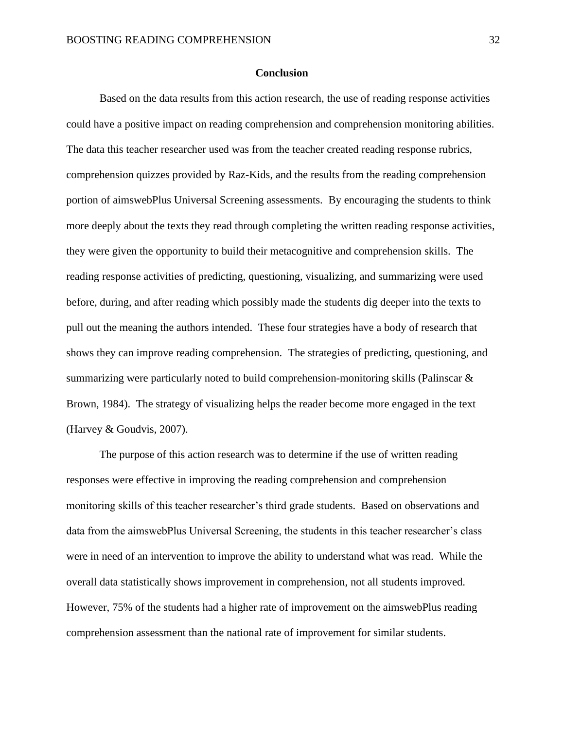#### **Conclusion**

Based on the data results from this action research, the use of reading response activities could have a positive impact on reading comprehension and comprehension monitoring abilities. The data this teacher researcher used was from the teacher created reading response rubrics, comprehension quizzes provided by Raz-Kids, and the results from the reading comprehension portion of aimswebPlus Universal Screening assessments. By encouraging the students to think more deeply about the texts they read through completing the written reading response activities, they were given the opportunity to build their metacognitive and comprehension skills. The reading response activities of predicting, questioning, visualizing, and summarizing were used before, during, and after reading which possibly made the students dig deeper into the texts to pull out the meaning the authors intended. These four strategies have a body of research that shows they can improve reading comprehension. The strategies of predicting, questioning, and summarizing were particularly noted to build comprehension-monitoring skills (Palinscar & Brown, 1984). The strategy of visualizing helps the reader become more engaged in the text (Harvey & Goudvis, 2007).

The purpose of this action research was to determine if the use of written reading responses were effective in improving the reading comprehension and comprehension monitoring skills of this teacher researcher's third grade students. Based on observations and data from the aimswebPlus Universal Screening, the students in this teacher researcher's class were in need of an intervention to improve the ability to understand what was read. While the overall data statistically shows improvement in comprehension, not all students improved. However, 75% of the students had a higher rate of improvement on the aimswebPlus reading comprehension assessment than the national rate of improvement for similar students.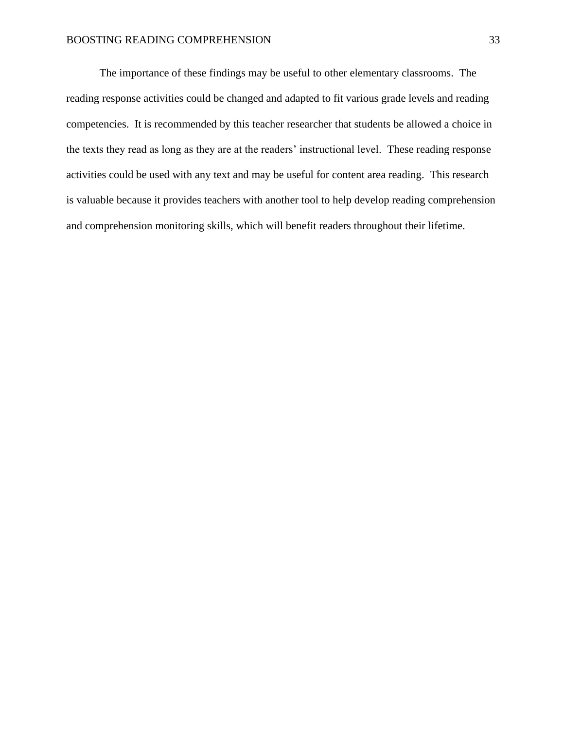The importance of these findings may be useful to other elementary classrooms. The reading response activities could be changed and adapted to fit various grade levels and reading competencies. It is recommended by this teacher researcher that students be allowed a choice in the texts they read as long as they are at the readers' instructional level. These reading response activities could be used with any text and may be useful for content area reading. This research is valuable because it provides teachers with another tool to help develop reading comprehension and comprehension monitoring skills, which will benefit readers throughout their lifetime.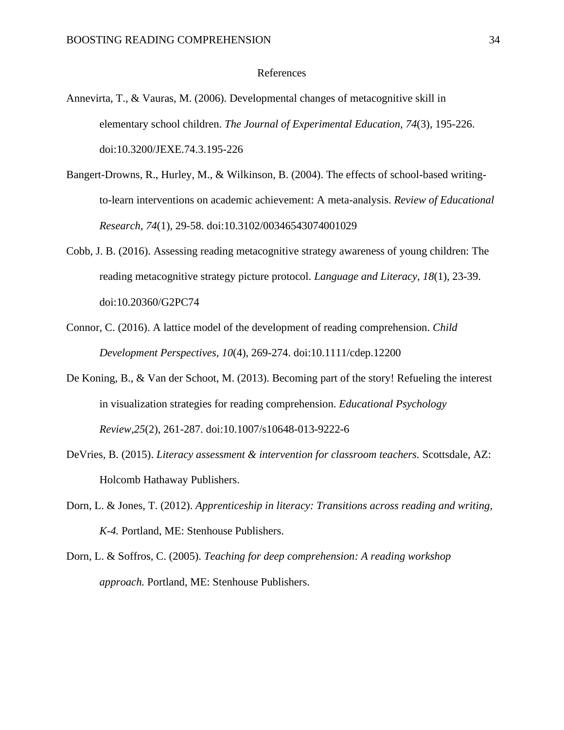#### References

- Annevirta, T., & Vauras, M. (2006). Developmental changes of metacognitive skill in elementary school children. *The Journal of Experimental Education, 74*(3), 195-226. doi:10.3200/JEXE.74.3.195-226
- Bangert-Drowns, R., Hurley, M., & Wilkinson, B. (2004). The effects of school-based writingto-learn interventions on academic achievement: A meta-analysis. *Review of Educational Research, 74*(1), 29-58. doi:10.3102/00346543074001029
- Cobb, J. B. (2016). Assessing reading metacognitive strategy awareness of young children: The reading metacognitive strategy picture protocol. *Language and Literacy, 18*(1), 23-39. doi:10.20360/G2PC74
- Connor, C. (2016). A lattice model of the development of reading comprehension. *Child Development Perspectives, 10*(4), 269-274. doi:10.1111/cdep.12200
- De Koning, B., & Van der Schoot, M. (2013). Becoming part of the story! Refueling the interest in visualization strategies for reading comprehension. *Educational Psychology Review,25*(2), 261-287. doi:10.1007/s10648-013-9222-6
- DeVries, B. (2015). *Literacy assessment & intervention for classroom teachers.* Scottsdale, AZ: Holcomb Hathaway Publishers.
- Dorn, L. & Jones, T. (2012). *Apprenticeship in literacy: Transitions across reading and writing, K-4.* Portland, ME: Stenhouse Publishers.
- Dorn, L. & Soffros, C. (2005). *Teaching for deep comprehension: A reading workshop approach.* Portland, ME: Stenhouse Publishers.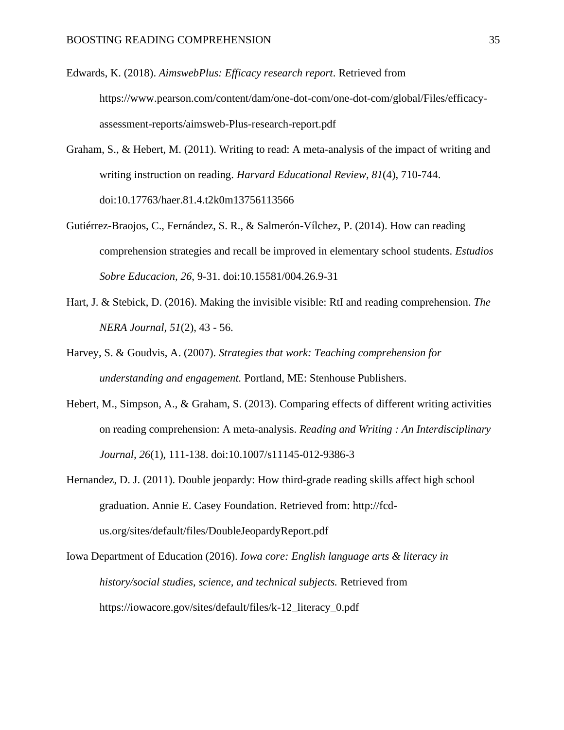Edwards, K. (2018). *AimswebPlus: Efficacy research report*. Retrieved from https://www.pearson.com/content/dam/one-dot-com/one-dot-com/global/Files/efficacyassessment-reports/aimsweb-Plus-research-report.pdf

- Graham, S., & Hebert, M. (2011). Writing to read: A meta-analysis of the impact of writing and writing instruction on reading. *Harvard Educational Review, 81*(4), 710-744. doi:10.17763/haer.81.4.t2k0m13756113566
- Gutiérrez-Braojos, C., Fernández, S. R., & Salmerón-Vílchez, P. (2014). How can reading comprehension strategies and recall be improved in elementary school students. *Estudios Sobre Educacion, 26*, 9-31. doi:10.15581/004.26.9-31
- Hart, J. & Stebick, D. (2016). Making the invisible visible: RtI and reading comprehension. *The NERA Journal, 51*(2), 43 - 56.
- Harvey, S. & Goudvis, A. (2007). *Strategies that work: Teaching comprehension for understanding and engagement.* Portland, ME: Stenhouse Publishers.
- Hebert, M., Simpson, A., & Graham, S. (2013). Comparing effects of different writing activities on reading comprehension: A meta-analysis. *Reading and Writing : An Interdisciplinary Journal, 26*(1), 111-138. doi:10.1007/s11145-012-9386-3
- Hernandez, D. J. (2011). Double jeopardy: How third-grade reading skills affect high school graduation. Annie E. Casey Foundation. Retrieved from: http://fcdus.org/sites/default/files/DoubleJeopardyReport.pdf
- Iowa Department of Education (2016). *Iowa core: English language arts & literacy in history/social studies, science, and technical subjects.* Retrieved from https://iowacore.gov/sites/default/files/k-12\_literacy\_0.pdf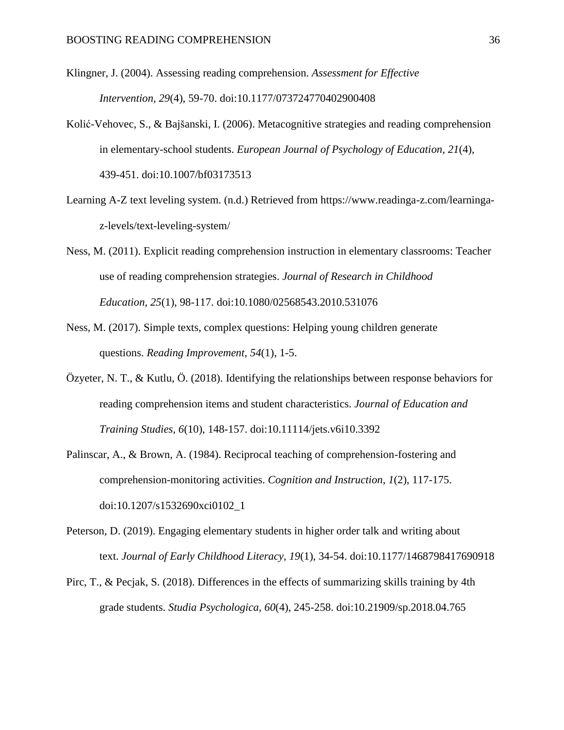Klingner, J. (2004). Assessing reading comprehension. *Assessment for Effective Intervention, 29*(4), 59-70. doi:10.1177/073724770402900408

- Kolić-Vehovec, S., & Bajšanski, I. (2006). Metacognitive strategies and reading comprehension in elementary-school students. *European Journal of Psychology of Education, 21*(4), 439-451. doi:10.1007/bf03173513
- Learning A-Z text leveling system. (n.d.) Retrieved from https://www.readinga-z.com/learningaz-levels/text-leveling-system/
- Ness, M. (2011). Explicit reading comprehension instruction in elementary classrooms: Teacher use of reading comprehension strategies. *Journal of Research in Childhood Education, 25*(1), 98-117. doi:10.1080/02568543.2010.531076
- Ness, M. (2017). Simple texts, complex questions: Helping young children generate questions. *Reading Improvement, 54*(1), 1-5.
- Özyeter, N. T., & Kutlu, Ö. (2018). Identifying the relationships between response behaviors for reading comprehension items and student characteristics. *Journal of Education and Training Studies, 6*(10), 148-157. doi:10.11114/jets.v6i10.3392
- Palinscar, A., & Brown, A. (1984). Reciprocal teaching of comprehension-fostering and comprehension-monitoring activities. *Cognition and Instruction, 1*(2), 117-175. doi:10.1207/s1532690xci0102\_1
- Peterson, D. (2019). Engaging elementary students in higher order talk and writing about text. *Journal of Early Childhood Literacy, 19*(1), 34-54. doi:10.1177/1468798417690918
- Pirc, T., & Pecjak, S. (2018). Differences in the effects of summarizing skills training by 4th grade students. *Studia Psychologica, 60*(4), 245-258. doi:10.21909/sp.2018.04.765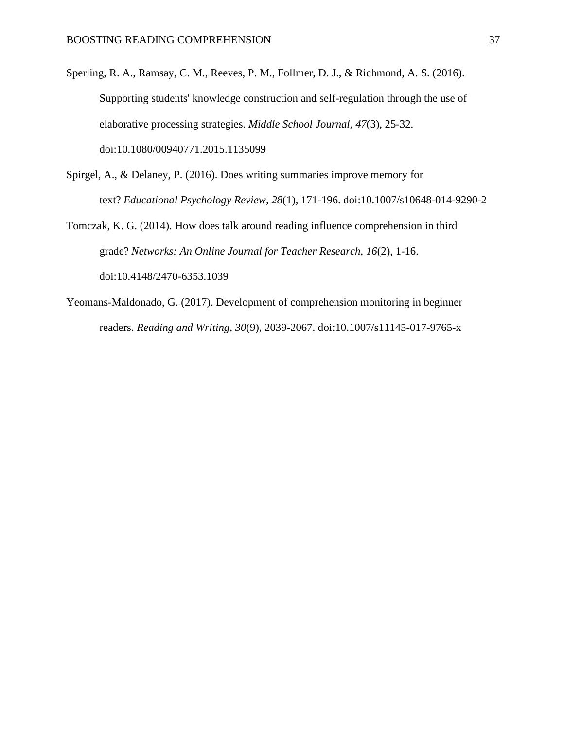- Sperling, R. A., Ramsay, C. M., Reeves, P. M., Follmer, D. J., & Richmond, A. S. (2016). Supporting students' knowledge construction and self-regulation through the use of elaborative processing strategies. *Middle School Journal, 47*(3), 25-32. doi:10.1080/00940771.2015.1135099
- Spirgel, A., & Delaney, P. (2016). Does writing summaries improve memory for text? *Educational Psychology Review, 28*(1), 171-196. doi:10.1007/s10648-014-9290-2
- Tomczak, K. G. (2014). How does talk around reading influence comprehension in third grade? *Networks: An Online Journal for Teacher Research, 16*(2), 1-16. doi:10.4148/2470-6353.1039
- Yeomans-Maldonado, G. (2017). Development of comprehension monitoring in beginner readers. *Reading and Writing, 30*(9), 2039-2067. doi:10.1007/s11145-017-9765-x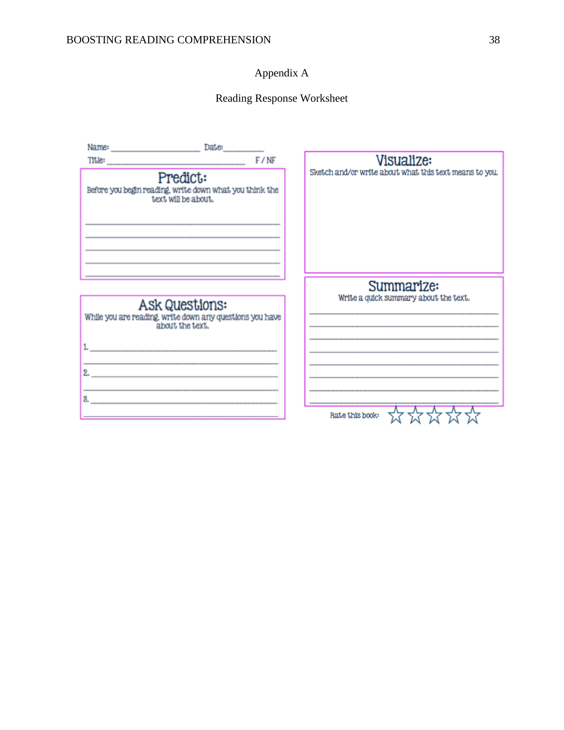## Appendix A

## Reading Response Worksheet

|                                                                                                                       | Date: |                                                        |
|-----------------------------------------------------------------------------------------------------------------------|-------|--------------------------------------------------------|
| Title: F/NF                                                                                                           |       | Visualize:                                             |
| Predict:<br>Before you begin reading, write down what you think the<br>text will be about.                            |       | Sketch and/or write about what this text means to you. |
|                                                                                                                       |       | Summarize:                                             |
| <b>Ask Questions:</b><br>While you are reading, write down any questions you have<br>about the text.                  |       | Write a quick summary about the text.                  |
| 1.                                                                                                                    |       |                                                        |
| 2.                                                                                                                    |       |                                                        |
| the contract of the contract of the contract of the contract of the contract of the contract of the contract of<br>3. |       |                                                        |
|                                                                                                                       |       | Rate this book:                                        |